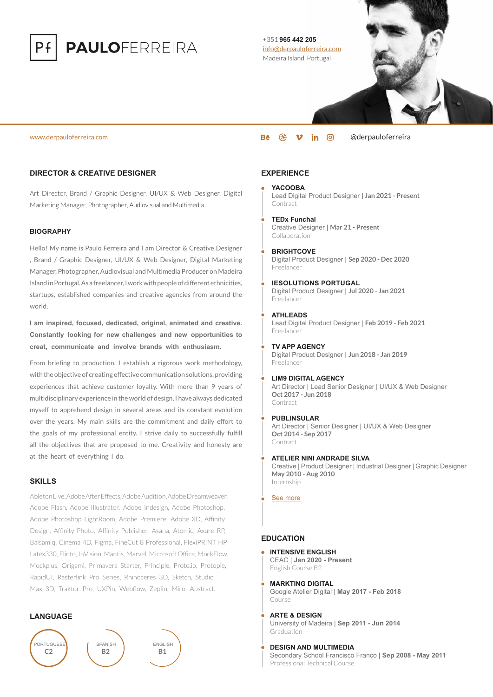

# **PAULOFERREIRA**

### +351 **965 442 205** [info@derpauloferreira.com](mailto:info@derpauloferreira.com) Madeira Island, Portugal

#### [www.derpauloferreira.com](https://derpauloferreira.com/) [@derpauloferreira](https://derpauloferreira.com/)

# **DIRECTOR & CREATIVE DESIGNER**

Art Director, Brand / Graphic Designer, UI/UX & Web Designer, Digital Marketing Manager, Photographer, Audiovisual and Multimedia.

## **BIOGRAPHY**

Hello! My name is Paulo Ferreira and I am Director & Creative Designer , Brand / Graphic Designer, UI/UX & Web Designer, Digital Marketing Manager, Photographer, Audiovisual and Multimedia Producer on Madeira IslandinPortugal.As a freelancer, Iworkwith people of different ethnicities, startups, established companies and creative agencies from around the world.

**I am inspired, focused, dedicated, original, animated and creative. Constantly looking for new challenges and new opportunities to creat, communicate and involve brands with enthusiasm.**

From briefing to production, I establish a rigorous work methodology, with the objective of creating effective communication solutions, providing experiences that achieve customer loyalty. With more than 9 years of multidisciplinary experience in the world of design, I have always dedicated myself to apprehend design in several areas and its constant evolution over the years. My main skills are the commitment and daily effort to the goals of my professional entity. I strive daily to successfully fulfill all the objectives that are proposed to me. Creativity and honesty are at the heart of everything I do.

#### **SKILLS**

Ableton Live, Adobe After Effects, Adobe Audition, Adobe Dreamweaver Adobe Flash, Adobe Illustrator, Adobe Indesign, Adobe Photoshop, Adobe Photoshop LightRoom, Adobe Premiere, Adobe XD, Affinity Design, Affinity Photo, Affinity Publisher, Asana, Atomic, Axure RP, Balsamiq, Cinema 4D, Figma, FineCut 8 Professional, FlexiPRINT HP Latex330, Flinto, InVision, Mantis, Marvel, Microsoft Office, MockFlow, Mockplus, Origami, Primavera Starter, Principle, Proto.io, Protopie, RapidUI, Rasterlink Pro Series, Rhinoceres 3D, Sketch, Studio Max 3D, Traktor Pro, UXPin, Webflow, Zeplin, Miro, Abstract.

## **LANGUAGE**



# **EXPERIENCE**

- **YACOOBA** Lead Digital Product Designer **| Jan 2021 - Present** Contract
- **TEDx Funchal** Creative Designer | **Mar 21 - Present** Collaboration
- **BRIGHTCOVE** Digital Product Designer | **Sep 2020 - Dec 2020** Freelancer
- **IESOLUTIONS PORTUGAL** Digital Product Designer | **Jul 2020 - Jan 2021** Freelancer
- **ATHLEADS** Lead Digital Product Designer | **Feb 2019 - Feb 2021** Freelancer
- **TV APP AGENCY** Digital Product Designer | **Jun 2018 - Jan 2019** Freelancer
- **LIM9 DIGITAL AGENCY** Art Director | Lead Senior Designer | UI/UX & Web Designer **Oct 2017 - Jun 2018** Contract
- **PUBLINSULAR**

Art Director | Senior Designer | UI/UX & Web Designer **Oct 2014 - Sep 2017** Contract

#### **ATELIER NINI ANDRADE SILVA**

Creative | Product Designer | Industrial Designer | Graphic Designer **May 2010 - Aug 2010** Internship

[See more](https://www.linkedin.com/in/derpauloferreira/)

# **EDUCATION**

- **INTENSIVE ENGLISH** CEAC | **Jan 2020 - Present** English Course B2
- **MARKTING DIGITAL** Google Atelier Digital | **May 2017 - Feb 2018** Course
- **ARTE & DESIGN** University of Madeira | **Sep 2011 - Jun 2014 Graduation**
- **DESIGN AND MULTIMEDIA** Secondary School Francisco Franco | **Sep 2008 - May 2011** Professional Technical Course